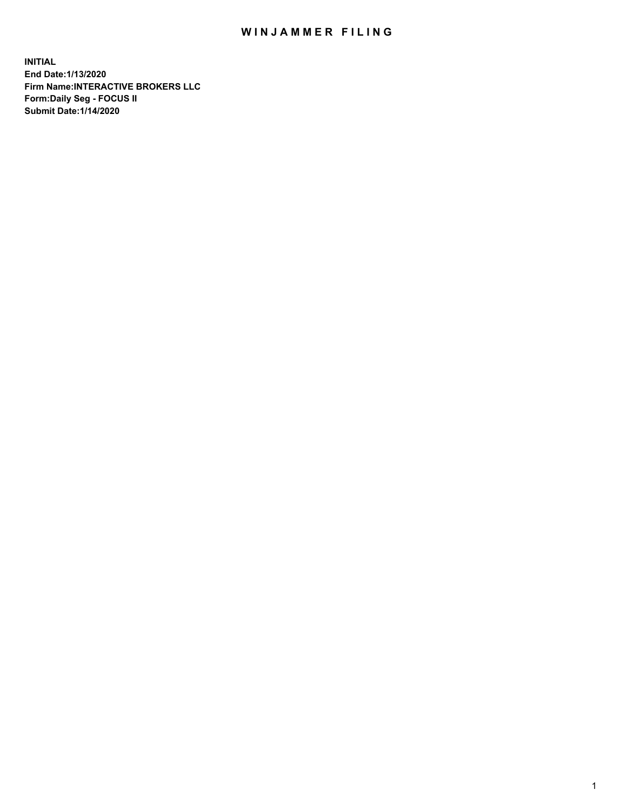## WIN JAMMER FILING

**INITIAL End Date:1/13/2020 Firm Name:INTERACTIVE BROKERS LLC Form:Daily Seg - FOCUS II Submit Date:1/14/2020**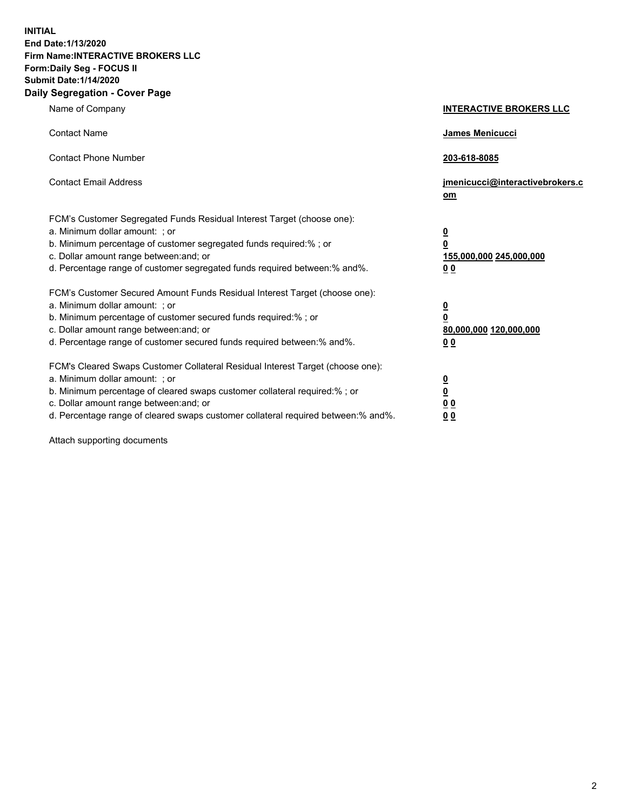**INITIAL End Date:1/13/2020 Firm Name:INTERACTIVE BROKERS LLC Form:Daily Seg - FOCUS II Submit Date:1/14/2020 Daily Segregation - Cover Page**

| Name of Company                                                                                                                                                                                                                                                                                                                 | <b>INTERACTIVE BROKERS LLC</b>                                                   |
|---------------------------------------------------------------------------------------------------------------------------------------------------------------------------------------------------------------------------------------------------------------------------------------------------------------------------------|----------------------------------------------------------------------------------|
| <b>Contact Name</b>                                                                                                                                                                                                                                                                                                             | <b>James Menicucci</b>                                                           |
| <b>Contact Phone Number</b>                                                                                                                                                                                                                                                                                                     | 203-618-8085                                                                     |
| <b>Contact Email Address</b>                                                                                                                                                                                                                                                                                                    | jmenicucci@interactivebrokers.c<br>om                                            |
| FCM's Customer Segregated Funds Residual Interest Target (choose one):<br>a. Minimum dollar amount: ; or<br>b. Minimum percentage of customer segregated funds required:% ; or<br>c. Dollar amount range between: and; or<br>d. Percentage range of customer segregated funds required between:% and%.                          | <u>0</u><br>$\overline{\mathbf{0}}$<br>155,000,000 245,000,000<br>0 <sub>0</sub> |
| FCM's Customer Secured Amount Funds Residual Interest Target (choose one):<br>a. Minimum dollar amount: ; or<br>b. Minimum percentage of customer secured funds required:%; or<br>c. Dollar amount range between: and; or<br>d. Percentage range of customer secured funds required between:% and%.                             | <u>0</u><br>$\overline{\mathbf{0}}$<br>80,000,000 120,000,000<br>0 <sub>0</sub>  |
| FCM's Cleared Swaps Customer Collateral Residual Interest Target (choose one):<br>a. Minimum dollar amount: ; or<br>b. Minimum percentage of cleared swaps customer collateral required:%; or<br>c. Dollar amount range between: and; or<br>d. Percentage range of cleared swaps customer collateral required between: % and %. | <u>0</u><br>$\underline{\mathbf{0}}$<br>0 <sub>0</sub><br>0 <sub>0</sub>         |

Attach supporting documents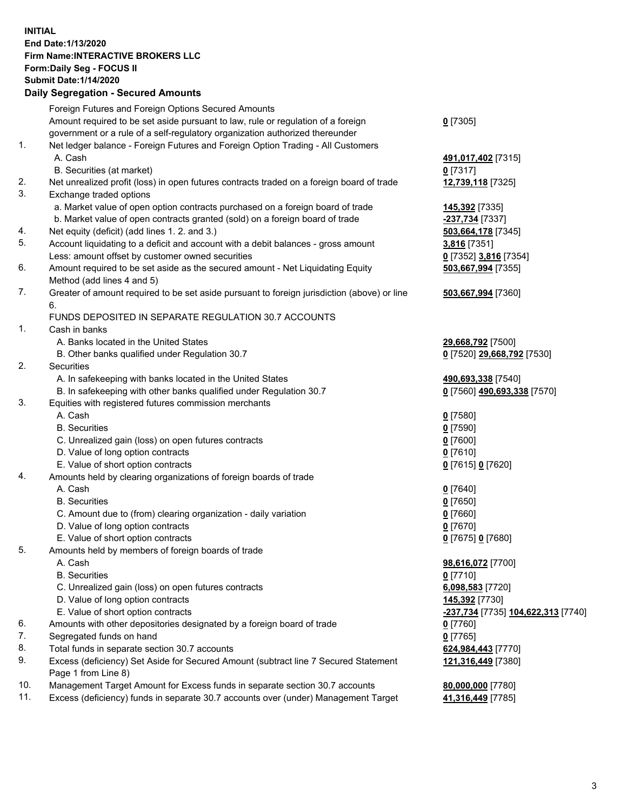## **INITIAL End Date:1/13/2020 Firm Name:INTERACTIVE BROKERS LLC Form:Daily Seg - FOCUS II Submit Date:1/14/2020 Daily Segregation - Secured Amounts**

|     | Daily Segregation - Secured Amounts                                                                        |                                                  |
|-----|------------------------------------------------------------------------------------------------------------|--------------------------------------------------|
|     | Foreign Futures and Foreign Options Secured Amounts                                                        |                                                  |
|     | Amount required to be set aside pursuant to law, rule or regulation of a foreign                           | $0$ [7305]                                       |
|     | government or a rule of a self-regulatory organization authorized thereunder                               |                                                  |
| 1.  | Net ledger balance - Foreign Futures and Foreign Option Trading - All Customers                            |                                                  |
|     | A. Cash                                                                                                    | 491,017,402 [7315]                               |
|     | B. Securities (at market)                                                                                  | $0$ [7317]                                       |
| 2.  | Net unrealized profit (loss) in open futures contracts traded on a foreign board of trade                  | 12,739,118 [7325]                                |
| 3.  | Exchange traded options                                                                                    |                                                  |
|     | a. Market value of open option contracts purchased on a foreign board of trade                             | 145,392 [7335]                                   |
|     | b. Market value of open contracts granted (sold) on a foreign board of trade                               | -237,734 [7337]                                  |
| 4.  | Net equity (deficit) (add lines 1. 2. and 3.)                                                              | 503,664,178 [7345]                               |
| 5.  | Account liquidating to a deficit and account with a debit balances - gross amount                          | 3,816 [7351]                                     |
|     | Less: amount offset by customer owned securities                                                           | 0 [7352] 3,816 [7354]                            |
| 6.  | Amount required to be set aside as the secured amount - Net Liquidating Equity                             | 503,667,994 [7355]                               |
|     | Method (add lines 4 and 5)                                                                                 |                                                  |
| 7.  | Greater of amount required to be set aside pursuant to foreign jurisdiction (above) or line                | 503,667,994 [7360]                               |
|     | 6.                                                                                                         |                                                  |
|     | FUNDS DEPOSITED IN SEPARATE REGULATION 30.7 ACCOUNTS                                                       |                                                  |
| 1.  | Cash in banks                                                                                              |                                                  |
|     | A. Banks located in the United States                                                                      | 29,668,792 [7500]                                |
|     | B. Other banks qualified under Regulation 30.7                                                             | 0 [7520] 29,668,792 [7530]                       |
| 2.  | Securities                                                                                                 |                                                  |
|     | A. In safekeeping with banks located in the United States                                                  | 490,693,338 [7540]                               |
|     | B. In safekeeping with other banks qualified under Regulation 30.7                                         | 0 [7560] 490,693,338 [7570]                      |
| 3.  | Equities with registered futures commission merchants                                                      |                                                  |
|     | A. Cash                                                                                                    | $0$ [7580]                                       |
|     | <b>B.</b> Securities                                                                                       | $0$ [7590]                                       |
|     | C. Unrealized gain (loss) on open futures contracts                                                        | $0$ [7600]                                       |
|     | D. Value of long option contracts                                                                          | $0$ [7610]                                       |
|     | E. Value of short option contracts                                                                         | 0 [7615] 0 [7620]                                |
| 4.  | Amounts held by clearing organizations of foreign boards of trade                                          |                                                  |
|     | A. Cash                                                                                                    | $0$ [7640]                                       |
|     | <b>B.</b> Securities                                                                                       | $0$ [7650]                                       |
|     | C. Amount due to (from) clearing organization - daily variation                                            | $0$ [7660]                                       |
|     | D. Value of long option contracts                                                                          | $0$ [7670]                                       |
|     | E. Value of short option contracts                                                                         | 0 [7675] 0 [7680]                                |
| 5.  | Amounts held by members of foreign boards of trade                                                         |                                                  |
|     | A. Cash                                                                                                    | 98,616,072 [7700]                                |
|     | <b>B.</b> Securities                                                                                       | $0$ [7710]                                       |
|     | C. Unrealized gain (loss) on open futures contracts                                                        | 6,098,583 [7720]                                 |
|     | D. Value of long option contracts                                                                          | 145,392 [7730]                                   |
|     | E. Value of short option contracts                                                                         | <u>-237,734</u> [7735] <u>104,622,313</u> [7740] |
| 6.  | Amounts with other depositories designated by a foreign board of trade                                     | $0$ [7760]                                       |
| 7.  | Segregated funds on hand                                                                                   | $0$ [7765]                                       |
| 8.  | Total funds in separate section 30.7 accounts                                                              | 624,984,443 [7770]                               |
| 9.  | Excess (deficiency) Set Aside for Secured Amount (subtract line 7 Secured Statement<br>Page 1 from Line 8) | 121,316,449 [7380]                               |
| 10. | Management Target Amount for Excess funds in separate section 30.7 accounts                                | 80,000,000 [7780]                                |
| 11. | Excess (deficiency) funds in separate 30.7 accounts over (under) Management Target                         | 41,316,449 [7785]                                |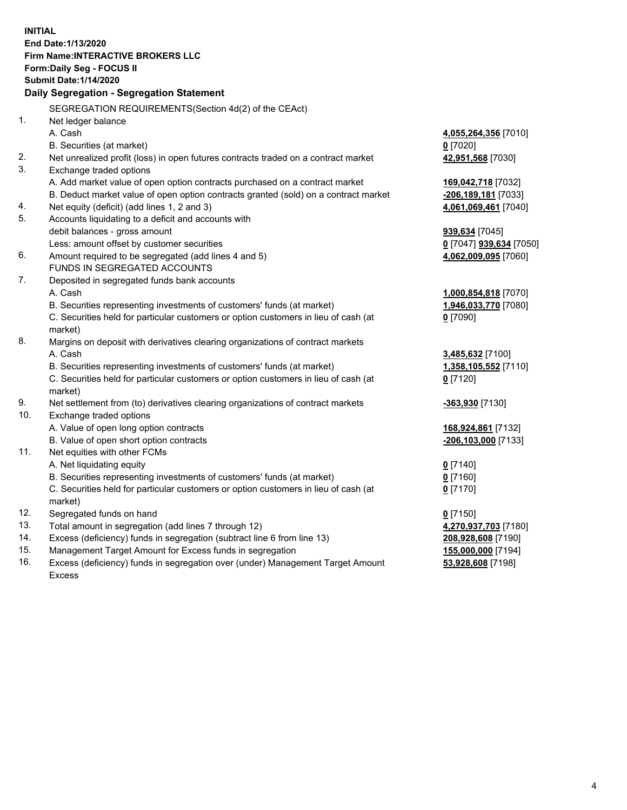**INITIAL End Date:1/13/2020 Firm Name:INTERACTIVE BROKERS LLC Form:Daily Seg - FOCUS II Submit Date:1/14/2020 Daily Segregation - Segregation Statement** SEGREGATION REQUIREMENTS(Section 4d(2) of the CEAct) 1. Net ledger balance A. Cash **4,055,264,356** [7010] B. Securities (at market) **0** [7020] 2. Net unrealized profit (loss) in open futures contracts traded on a contract market **42,951,568** [7030] 3. Exchange traded options A. Add market value of open option contracts purchased on a contract market **169,042,718** [7032] B. Deduct market value of open option contracts granted (sold) on a contract market **-206,189,181** [7033] 4. Net equity (deficit) (add lines 1, 2 and 3) **4,061,069,461** [7040] 5. Accounts liquidating to a deficit and accounts with debit balances - gross amount **939,634** [7045] Less: amount offset by customer securities **0** [7047] **939,634** [7050] 6. Amount required to be segregated (add lines 4 and 5) **4,062,009,095** [7060] FUNDS IN SEGREGATED ACCOUNTS 7. Deposited in segregated funds bank accounts A. Cash **1,000,854,818** [7070] B. Securities representing investments of customers' funds (at market) **1,946,033,770** [7080] C. Securities held for particular customers or option customers in lieu of cash (at market) **0** [7090] 8. Margins on deposit with derivatives clearing organizations of contract markets A. Cash **3,485,632** [7100] B. Securities representing investments of customers' funds (at market) **1,358,105,552** [7110] C. Securities held for particular customers or option customers in lieu of cash (at market) **0** [7120] 9. Net settlement from (to) derivatives clearing organizations of contract markets **-363,930** [7130] 10. Exchange traded options A. Value of open long option contracts **168,924,861** [7132] B. Value of open short option contracts **-206,103,000** [7133] 11. Net equities with other FCMs A. Net liquidating equity **0** [7140] B. Securities representing investments of customers' funds (at market) **0** [7160] C. Securities held for particular customers or option customers in lieu of cash (at market) **0** [7170] 12. Segregated funds on hand **0** [7150] 13. Total amount in segregation (add lines 7 through 12) **4,270,937,703** [7180] 14. Excess (deficiency) funds in segregation (subtract line 6 from line 13) **208,928,608** [7190] 15. Management Target Amount for Excess funds in segregation **155,000,000** [7194]

16. Excess (deficiency) funds in segregation over (under) Management Target Amount Excess

**53,928,608** [7198]